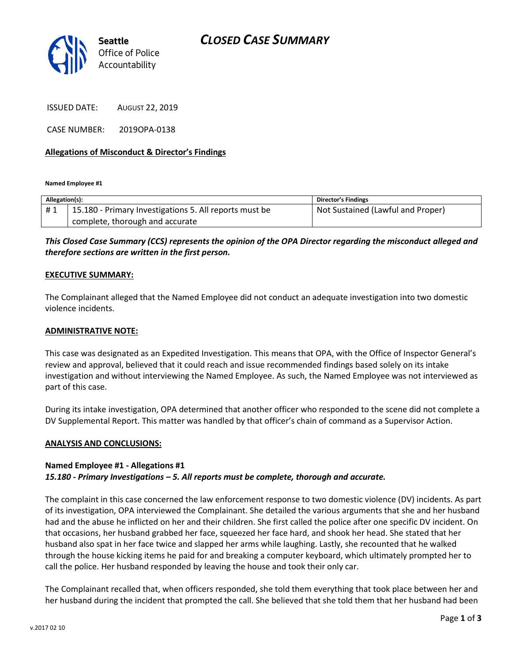

ISSUED DATE: AUGUST 22, 2019

CASE NUMBER: 2019OPA-0138

#### **Allegations of Misconduct & Director's Findings**

**Named Employee #1**

| Allegation(s): |                                                        | <b>Director's Findings</b>        |
|----------------|--------------------------------------------------------|-----------------------------------|
| #1             | 15.180 - Primary Investigations 5. All reports must be | Not Sustained (Lawful and Proper) |
|                | complete, thorough and accurate                        |                                   |

### *This Closed Case Summary (CCS) represents the opinion of the OPA Director regarding the misconduct alleged and therefore sections are written in the first person.*

#### **EXECUTIVE SUMMARY:**

The Complainant alleged that the Named Employee did not conduct an adequate investigation into two domestic violence incidents.

#### **ADMINISTRATIVE NOTE:**

This case was designated as an Expedited Investigation. This means that OPA, with the Office of Inspector General's review and approval, believed that it could reach and issue recommended findings based solely on its intake investigation and without interviewing the Named Employee. As such, the Named Employee was not interviewed as part of this case.

During its intake investigation, OPA determined that another officer who responded to the scene did not complete a DV Supplemental Report. This matter was handled by that officer's chain of command as a Supervisor Action.

#### **ANALYSIS AND CONCLUSIONS:**

#### **Named Employee #1 - Allegations #1** *15.180 - Primary Investigations – 5. All reports must be complete, thorough and accurate.*

The complaint in this case concerned the law enforcement response to two domestic violence (DV) incidents. As part of its investigation, OPA interviewed the Complainant. She detailed the various arguments that she and her husband had and the abuse he inflicted on her and their children. She first called the police after one specific DV incident. On that occasions, her husband grabbed her face, squeezed her face hard, and shook her head. She stated that her husband also spat in her face twice and slapped her arms while laughing. Lastly, she recounted that he walked through the house kicking items he paid for and breaking a computer keyboard, which ultimately prompted her to call the police. Her husband responded by leaving the house and took their only car.

The Complainant recalled that, when officers responded, she told them everything that took place between her and her husband during the incident that prompted the call. She believed that she told them that her husband had been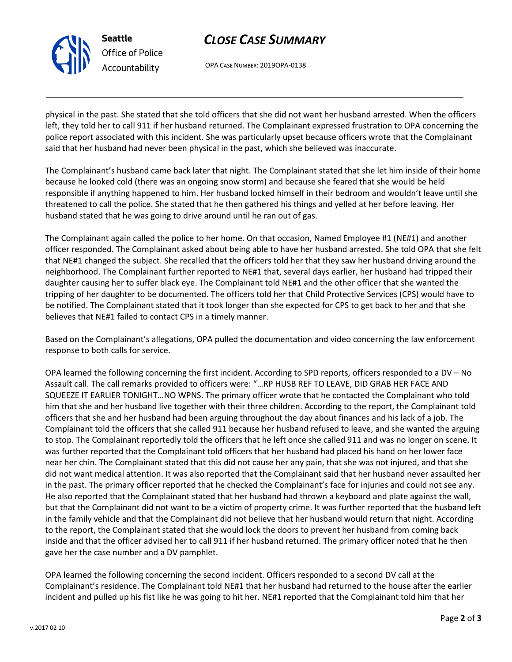

# *CLOSE CASE SUMMARY*

OPA CASE NUMBER: 2019OPA-0138

physical in the past. She stated that she told officers that she did not want her husband arrested. When the officers left, they told her to call 911 if her husband returned. The Complainant expressed frustration to OPA concerning the police report associated with this incident. She was particularly upset because officers wrote that the Complainant said that her husband had never been physical in the past, which she believed was inaccurate.

The Complainant's husband came back later that night. The Complainant stated that she let him inside of their home because he looked cold (there was an ongoing snow storm) and because she feared that she would be held responsible if anything happened to him. Her husband locked himself in their bedroom and wouldn't leave until she threatened to call the police. She stated that he then gathered his things and yelled at her before leaving. Her husband stated that he was going to drive around until he ran out of gas.

The Complainant again called the police to her home. On that occasion, Named Employee #1 (NE#1) and another officer responded. The Complainant asked about being able to have her husband arrested. She told OPA that she felt that NE#1 changed the subject. She recalled that the officers told her that they saw her husband driving around the neighborhood. The Complainant further reported to NE#1 that, several days earlier, her husband had tripped their daughter causing her to suffer black eye. The Complainant told NE#1 and the other officer that she wanted the tripping of her daughter to be documented. The officers told her that Child Protective Services (CPS) would have to be notified. The Complainant stated that it took longer than she expected for CPS to get back to her and that she believes that NE#1 failed to contact CPS in a timely manner.

Based on the Complainant's allegations, OPA pulled the documentation and video concerning the law enforcement response to both calls for service.

OPA learned the following concerning the first incident. According to SPD reports, officers responded to a DV – No Assault call. The call remarks provided to officers were: "…RP HUSB REF TO LEAVE, DID GRAB HER FACE AND SQUEEZE IT EARLIER TONIGHT…NO WPNS. The primary officer wrote that he contacted the Complainant who told him that she and her husband live together with their three children. According to the report, the Complainant told officers that she and her husband had been arguing throughout the day about finances and his lack of a job. The Complainant told the officers that she called 911 because her husband refused to leave, and she wanted the arguing to stop. The Complainant reportedly told the officers that he left once she called 911 and was no longer on scene. It was further reported that the Complainant told officers that her husband had placed his hand on her lower face near her chin. The Complainant stated that this did not cause her any pain, that she was not injured, and that she did not want medical attention. It was also reported that the Complainant said that her husband never assaulted her in the past. The primary officer reported that he checked the Complainant's face for injuries and could not see any. He also reported that the Complainant stated that her husband had thrown a keyboard and plate against the wall, but that the Complainant did not want to be a victim of property crime. It was further reported that the husband left in the family vehicle and that the Complainant did not believe that her husband would return that night. According to the report, the Complainant stated that she would lock the doors to prevent her husband from coming back inside and that the officer advised her to call 911 if her husband returned. The primary officer noted that he then gave her the case number and a DV pamphlet.

OPA learned the following concerning the second incident. Officers responded to a second DV call at the Complainant's residence. The Complainant told NE#1 that her husband had returned to the house after the earlier incident and pulled up his fist like he was going to hit her. NE#1 reported that the Complainant told him that her